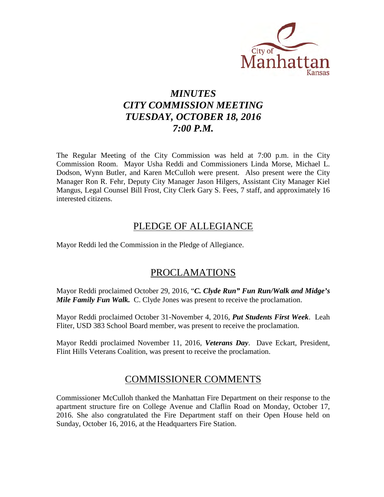

# *MINUTES CITY COMMISSION MEETING TUESDAY, OCTOBER 18, 2016 7:00 P.M.*

The Regular Meeting of the City Commission was held at 7:00 p.m. in the City Commission Room. Mayor Usha Reddi and Commissioners Linda Morse, Michael L. Dodson, Wynn Butler, and Karen McCulloh were present. Also present were the City Manager Ron R. Fehr, Deputy City Manager Jason Hilgers, Assistant City Manager Kiel Mangus, Legal Counsel Bill Frost, City Clerk Gary S. Fees, 7 staff, and approximately 16 interested citizens.

# PLEDGE OF ALLEGIANCE

Mayor Reddi led the Commission in the Pledge of Allegiance.

# PROCLAMATIONS

Mayor Reddi proclaimed October 29, 2016, "*C. Clyde Run" Fun Run/Walk and Midge's Mile Family Fun Walk.* C. Clyde Jones was present to receive the proclamation.

Mayor Reddi proclaimed October 31-November 4, 2016, *Put Students First Week*. Leah Fliter, USD 383 School Board member, was present to receive the proclamation.

Mayor Reddi proclaimed November 11, 2016, *Veterans Day*. Dave Eckart, President, Flint Hills Veterans Coalition, was present to receive the proclamation.

# COMMISSIONER COMMENTS

Commissioner McCulloh thanked the Manhattan Fire Department on their response to the apartment structure fire on College Avenue and Claflin Road on Monday, October 17, 2016. She also congratulated the Fire Department staff on their Open House held on Sunday, October 16, 2016, at the Headquarters Fire Station.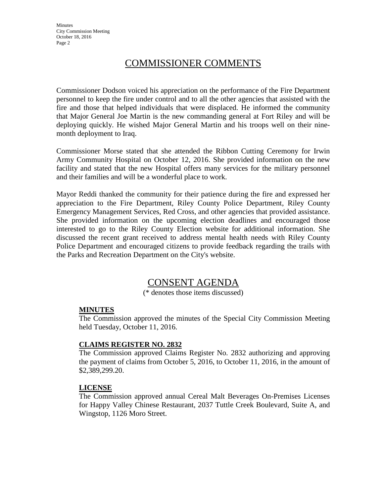**Minutes** City Commission Meeting October 18, 2016 Page 2

# COMMISSIONER COMMENTS

Commissioner Dodson voiced his appreciation on the performance of the Fire Department personnel to keep the fire under control and to all the other agencies that assisted with the fire and those that helped individuals that were displaced. He informed the community that Major General Joe Martin is the new commanding general at Fort Riley and will be deploying quickly. He wished Major General Martin and his troops well on their ninemonth deployment to Iraq.

Commissioner Morse stated that she attended the Ribbon Cutting Ceremony for Irwin Army Community Hospital on October 12, 2016. She provided information on the new facility and stated that the new Hospital offers many services for the military personnel and their families and will be a wonderful place to work.

Mayor Reddi thanked the community for their patience during the fire and expressed her appreciation to the Fire Department, Riley County Police Department, Riley County Emergency Management Services, Red Cross, and other agencies that provided assistance. She provided information on the upcoming election deadlines and encouraged those interested to go to the Riley County Election website for additional information. She discussed the recent grant received to address mental health needs with Riley County Police Department and encouraged citizens to provide feedback regarding the trails with the Parks and Recreation Department on the City's website.

# CONSENT AGENDA

(\* denotes those items discussed)

#### **MINUTES**

The Commission approved the minutes of the Special City Commission Meeting held Tuesday, October 11, 2016.

#### **CLAIMS REGISTER NO. 2832**

The Commission approved Claims Register No. 2832 authorizing and approving the payment of claims from October 5, 2016, to October 11, 2016, in the amount of \$2,389,299.20.

#### **LICENSE**

The Commission approved annual Cereal Malt Beverages On-Premises Licenses for Happy Valley Chinese Restaurant, 2037 Tuttle Creek Boulevard, Suite A, and Wingstop, 1126 Moro Street.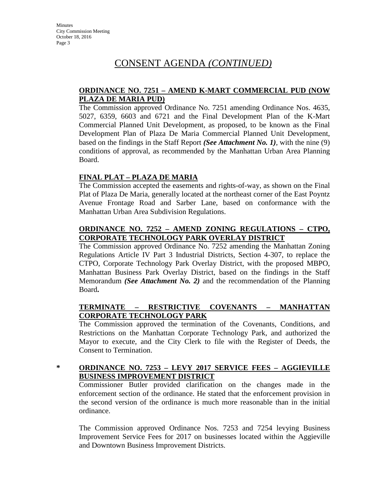#### **ORDINANCE NO. 7251 – AMEND K-MART COMMERCIAL PUD (NOW PLAZA DE MARIA PUD)**

The Commission approved Ordinance No. 7251 amending Ordinance Nos. 4635, 5027, 6359, 6603 and 6721 and the Final Development Plan of the K-Mart Commercial Planned Unit Development, as proposed, to be known as the Final Development Plan of Plaza De Maria Commercial Planned Unit Development, based on the findings in the Staff Report *(See Attachment No. 1)*, with the nine (9) conditions of approval, as recommended by the Manhattan Urban Area Planning Board.

### **FINAL PLAT – PLAZA DE MARIA**

The Commission accepted the easements and rights-of-way, as shown on the Final Plat of Plaza De Maria, generally located at the northeast corner of the East Poyntz Avenue Frontage Road and Sarber Lane, based on conformance with the Manhattan Urban Area Subdivision Regulations.

#### **ORDINANCE NO. 7252 – AMEND ZONING REGULATIONS – CTPO, CORPORATE TECHNOLOGY PARK OVERLAY DISTRICT**

The Commission approved Ordinance No. 7252 amending the Manhattan Zoning Regulations Article IV Part 3 Industrial Districts, Section 4-307, to replace the CTPO, Corporate Technology Park Overlay District, with the proposed MBPO, Manhattan Business Park Overlay District, based on the findings in the Staff Memorandum *(See Attachment No. 2)* and the recommendation of the Planning Board**.**

### **TERMINATE – RESTRICTIVE COVENANTS – MANHATTAN CORPORATE TECHNOLOGY PARK**

The Commission approved the termination of the Covenants, Conditions, and Restrictions on the Manhattan Corporate Technology Park, and authorized the Mayor to execute, and the City Clerk to file with the Register of Deeds, the Consent to Termination.

#### **\* ORDINANCE NO. 7253 – LEVY 2017 SERVICE FEES – AGGIEVILLE BUSINESS IMPROVEMENT DISTRICT**

Commissioner Butler provided clarification on the changes made in the enforcement section of the ordinance. He stated that the enforcement provision in the second version of the ordinance is much more reasonable than in the initial ordinance.

The Commission approved Ordinance Nos. 7253 and 7254 levying Business Improvement Service Fees for 2017 on businesses located within the Aggieville and Downtown Business Improvement Districts.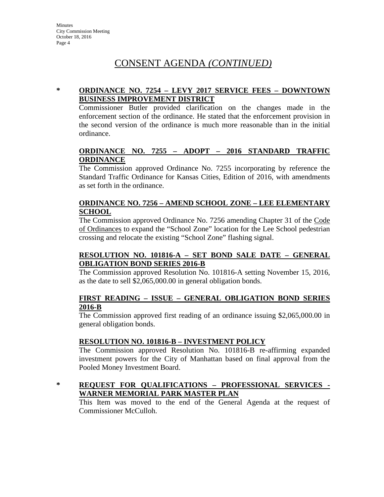#### **\* ORDINANCE NO. 7254 – LEVY 2017 SERVICE FEES – DOWNTOWN BUSINESS IMPROVEMENT DISTRICT**

Commissioner Butler provided clarification on the changes made in the enforcement section of the ordinance. He stated that the enforcement provision in the second version of the ordinance is much more reasonable than in the initial ordinance.

#### **ORDINANCE NO. 7255 – ADOPT – 2016 STANDARD TRAFFIC ORDINANCE**

The Commission approved Ordinance No. 7255 incorporating by reference the Standard Traffic Ordinance for Kansas Cities, Edition of 2016, with amendments as set forth in the ordinance.

#### **ORDINANCE NO. 7256 – AMEND SCHOOL ZONE – LEE ELEMENTARY SCHOOL**

The Commission approved Ordinance No. 7256 amending Chapter 31 of the Code of Ordinances to expand the "School Zone" location for the Lee School pedestrian crossing and relocate the existing "School Zone" flashing signal.

#### **RESOLUTION NO. 101816-A – SET BOND SALE DATE – GENERAL OBLIGATION BOND SERIES 2016-B**

The Commission approved Resolution No. 101816-A setting November 15, 2016, as the date to sell \$2,065,000.00 in general obligation bonds.

#### **FIRST READING – ISSUE – GENERAL OBLIGATION BOND SERIES 2016-B**

The Commission approved first reading of an ordinance issuing \$2,065,000.00 in general obligation bonds.

#### **RESOLUTION NO. 101816-B – INVESTMENT POLICY**

The Commission approved Resolution No. 101816-B re-affirming expanded investment powers for the City of Manhattan based on final approval from the Pooled Money Investment Board.

#### **\* REQUEST FOR QUALIFICATIONS – PROFESSIONAL SERVICES - WARNER MEMORIAL PARK MASTER PLAN**

This Item was moved to the end of the General Agenda at the request of Commissioner McCulloh.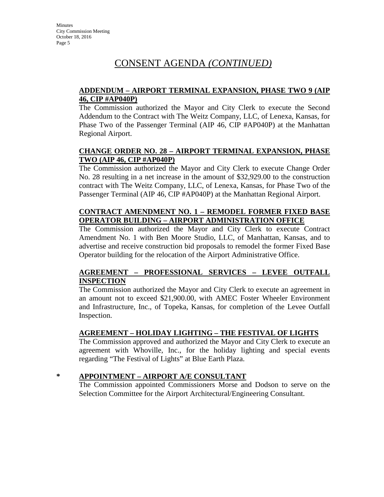#### **ADDENDUM – AIRPORT TERMINAL EXPANSION, PHASE TWO 9 (AIP 46, CIP #AP040P)**

The Commission authorized the Mayor and City Clerk to execute the Second Addendum to the Contract with The Weitz Company, LLC, of Lenexa, Kansas, for Phase Two of the Passenger Terminal (AIP 46, CIP #AP040P) at the Manhattan Regional Airport.

### **CHANGE ORDER NO. 28 – AIRPORT TERMINAL EXPANSION, PHASE TWO (AIP 46, CIP #AP040P)**

The Commission authorized the Mayor and City Clerk to execute Change Order No. 28 resulting in a net increase in the amount of \$32,929.00 to the construction contract with The Weitz Company, LLC, of Lenexa, Kansas, for Phase Two of the Passenger Terminal (AIP 46, CIP #AP040P) at the Manhattan Regional Airport.

#### **CONTRACT AMENDMENT NO. 1 – REMODEL FORMER FIXED BASE OPERATOR BUILDING – AIRPORT ADMINISTRATION OFFICE**

The Commission authorized the Mayor and City Clerk to execute Contract Amendment No. 1 with Ben Moore Studio, LLC, of Manhattan, Kansas, and to advertise and receive construction bid proposals to remodel the former Fixed Base Operator building for the relocation of the Airport Administrative Office.

#### **AGREEMENT – PROFESSIONAL SERVICES – LEVEE OUTFALL INSPECTION**

The Commission authorized the Mayor and City Clerk to execute an agreement in an amount not to exceed \$21,900.00, with AMEC Foster Wheeler Environment and Infrastructure, Inc., of Topeka, Kansas, for completion of the Levee Outfall Inspection.

### **AGREEMENT – HOLIDAY LIGHTING – THE FESTIVAL OF LIGHTS**

The Commission approved and authorized the Mayor and City Clerk to execute an agreement with Whoville, Inc., for the holiday lighting and special events regarding "The Festival of Lights" at Blue Earth Plaza.

#### **\* APPOINTMENT – AIRPORT A/E CONSULTANT**

The Commission appointed Commissioners Morse and Dodson to serve on the Selection Committee for the Airport Architectural/Engineering Consultant.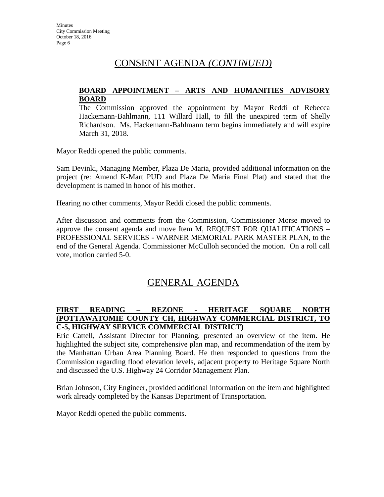#### **BOARD APPOINTMENT – ARTS AND HUMANITIES ADVISORY BOARD**

The Commission approved the appointment by Mayor Reddi of Rebecca Hackemann-Bahlmann, 111 Willard Hall, to fill the unexpired term of Shelly Richardson. Ms. Hackemann-Bahlmann term begins immediately and will expire March 31, 2018.

Mayor Reddi opened the public comments.

Sam Devinki, Managing Member, Plaza De Maria, provided additional information on the project (re: Amend K-Mart PUD and Plaza De Maria Final Plat) and stated that the development is named in honor of his mother.

Hearing no other comments, Mayor Reddi closed the public comments.

After discussion and comments from the Commission, Commissioner Morse moved to approve the consent agenda and move Item M, REQUEST FOR QUALIFICATIONS – PROFESSIONAL SERVICES - WARNER MEMORIAL PARK MASTER PLAN, to the end of the General Agenda. Commissioner McCulloh seconded the motion. On a roll call vote, motion carried 5-0.

# GENERAL AGENDA

#### **FIRST READING – REZONE - HERITAGE SQUARE NORTH (POTTAWATOMIE COUNTY CH, HIGHWAY COMMERCIAL DISTRICT, TO C-5, HIGHWAY SERVICE COMMERCIAL DISTRICT)**

Eric Cattell, Assistant Director for Planning, presented an overview of the item. He highlighted the subject site, comprehensive plan map, and recommendation of the item by the Manhattan Urban Area Planning Board. He then responded to questions from the Commission regarding flood elevation levels, adjacent property to Heritage Square North and discussed the U.S. Highway 24 Corridor Management Plan.

Brian Johnson, City Engineer, provided additional information on the item and highlighted work already completed by the Kansas Department of Transportation.

Mayor Reddi opened the public comments.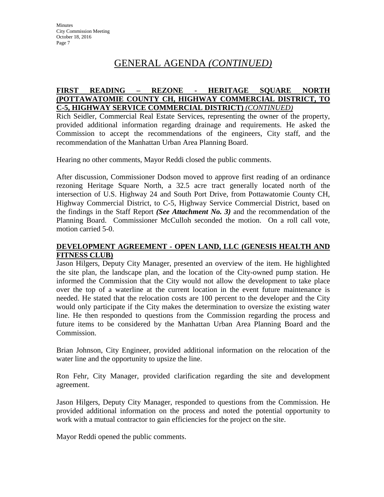# GENERAL AGENDA *(CONTINUED)*

#### **FIRST READING – REZONE - HERITAGE SQUARE NORTH (POTTAWATOMIE COUNTY CH, HIGHWAY COMMERCIAL DISTRICT, TO C-5, HIGHWAY SERVICE COMMERCIAL DISTRICT)** *(CONTINUED)*

Rich Seidler, Commercial Real Estate Services, representing the owner of the property, provided additional information regarding drainage and requirements. He asked the Commission to accept the recommendations of the engineers, City staff, and the recommendation of the Manhattan Urban Area Planning Board.

Hearing no other comments, Mayor Reddi closed the public comments.

After discussion, Commissioner Dodson moved to approve first reading of an ordinance rezoning Heritage Square North, a 32.5 acre tract generally located north of the intersection of U.S. Highway 24 and South Port Drive, from Pottawatomie County CH, Highway Commercial District, to C-5, Highway Service Commercial District, based on the findings in the Staff Report *(See Attachment No. 3)* and the recommendation of the Planning Board. Commissioner McCulloh seconded the motion. On a roll call vote, motion carried 5-0.

#### **DEVELOPMENT AGREEMENT - OPEN LAND, LLC (GENESIS HEALTH AND FITNESS CLUB)**

Jason Hilgers, Deputy City Manager, presented an overview of the item. He highlighted the site plan, the landscape plan, and the location of the City-owned pump station. He informed the Commission that the City would not allow the development to take place over the top of a waterline at the current location in the event future maintenance is needed. He stated that the relocation costs are 100 percent to the developer and the City would only participate if the City makes the determination to oversize the existing water line. He then responded to questions from the Commission regarding the process and future items to be considered by the Manhattan Urban Area Planning Board and the Commission.

Brian Johnson, City Engineer, provided additional information on the relocation of the water line and the opportunity to upsize the line.

Ron Fehr, City Manager, provided clarification regarding the site and development agreement.

Jason Hilgers, Deputy City Manager, responded to questions from the Commission. He provided additional information on the process and noted the potential opportunity to work with a mutual contractor to gain efficiencies for the project on the site.

Mayor Reddi opened the public comments.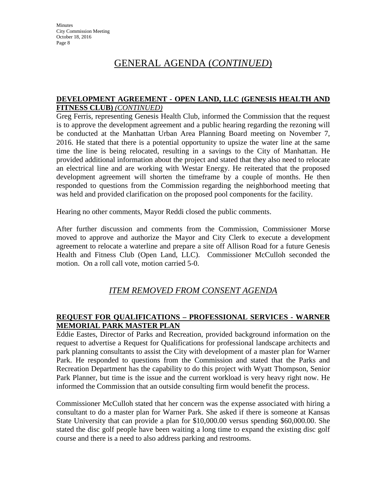# GENERAL AGENDA (*CONTINUED*)

#### **DEVELOPMENT AGREEMENT - OPEN LAND, LLC (GENESIS HEALTH AND FITNESS CLUB)** *(CONTINUED)*

Greg Ferris, representing Genesis Health Club, informed the Commission that the request is to approve the development agreement and a public hearing regarding the rezoning will be conducted at the Manhattan Urban Area Planning Board meeting on November 7, 2016. He stated that there is a potential opportunity to upsize the water line at the same time the line is being relocated, resulting in a savings to the City of Manhattan. He provided additional information about the project and stated that they also need to relocate an electrical line and are working with Westar Energy. He reiterated that the proposed development agreement will shorten the timeframe by a couple of months. He then responded to questions from the Commission regarding the neighborhood meeting that was held and provided clarification on the proposed pool components for the facility.

Hearing no other comments, Mayor Reddi closed the public comments.

After further discussion and comments from the Commission, Commissioner Morse moved to approve and authorize the Mayor and City Clerk to execute a development agreement to relocate a waterline and prepare a site off Allison Road for a future Genesis Health and Fitness Club (Open Land, LLC). Commissioner McCulloh seconded the motion. On a roll call vote, motion carried 5-0.

# *ITEM REMOVED FROM CONSENT AGENDA*

### **REQUEST FOR QUALIFICATIONS – PROFESSIONAL SERVICES - WARNER MEMORIAL PARK MASTER PLAN**

Eddie Eastes, Director of Parks and Recreation, provided background information on the request to advertise a Request for Qualifications for professional landscape architects and park planning consultants to assist the City with development of a master plan for Warner Park. He responded to questions from the Commission and stated that the Parks and Recreation Department has the capability to do this project with Wyatt Thompson, Senior Park Planner, but time is the issue and the current workload is very heavy right now. He informed the Commission that an outside consulting firm would benefit the process.

Commissioner McCulloh stated that her concern was the expense associated with hiring a consultant to do a master plan for Warner Park. She asked if there is someone at Kansas State University that can provide a plan for \$10,000.00 versus spending \$60,000.00. She stated the disc golf people have been waiting a long time to expand the existing disc golf course and there is a need to also address parking and restrooms.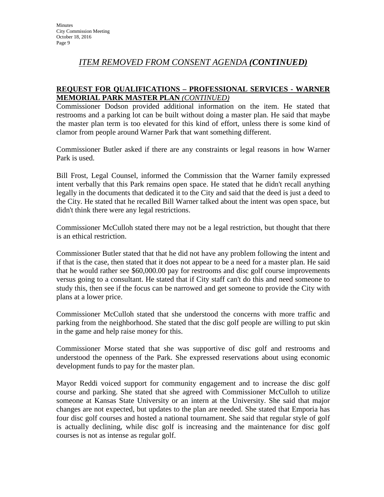### *ITEM REMOVED FROM CONSENT AGENDA (CONTINUED)*

#### **REQUEST FOR QUALIFICATIONS – PROFESSIONAL SERVICES - WARNER MEMORIAL PARK MASTER PLAN** *(CONTINUED)*

Commissioner Dodson provided additional information on the item. He stated that restrooms and a parking lot can be built without doing a master plan. He said that maybe the master plan term is too elevated for this kind of effort, unless there is some kind of clamor from people around Warner Park that want something different.

Commissioner Butler asked if there are any constraints or legal reasons in how Warner Park is used.

Bill Frost, Legal Counsel, informed the Commission that the Warner family expressed intent verbally that this Park remains open space. He stated that he didn't recall anything legally in the documents that dedicated it to the City and said that the deed is just a deed to the City. He stated that he recalled Bill Warner talked about the intent was open space, but didn't think there were any legal restrictions.

Commissioner McCulloh stated there may not be a legal restriction, but thought that there is an ethical restriction.

Commissioner Butler stated that that he did not have any problem following the intent and if that is the case, then stated that it does not appear to be a need for a master plan. He said that he would rather see \$60,000.00 pay for restrooms and disc golf course improvements versus going to a consultant. He stated that if City staff can't do this and need someone to study this, then see if the focus can be narrowed and get someone to provide the City with plans at a lower price.

Commissioner McCulloh stated that she understood the concerns with more traffic and parking from the neighborhood. She stated that the disc golf people are willing to put skin in the game and help raise money for this.

Commissioner Morse stated that she was supportive of disc golf and restrooms and understood the openness of the Park. She expressed reservations about using economic development funds to pay for the master plan.

Mayor Reddi voiced support for community engagement and to increase the disc golf course and parking. She stated that she agreed with Commissioner McCulloh to utilize someone at Kansas State University or an intern at the University. She said that major changes are not expected, but updates to the plan are needed. She stated that Emporia has four disc golf courses and hosted a national tournament. She said that regular style of golf is actually declining, while disc golf is increasing and the maintenance for disc golf courses is not as intense as regular golf.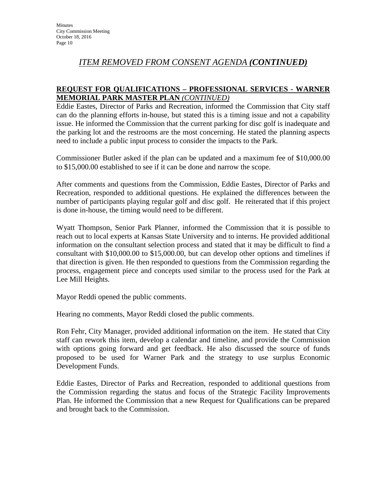# *ITEM REMOVED FROM CONSENT AGENDA (CONTINUED)*

### **REQUEST FOR QUALIFICATIONS – PROFESSIONAL SERVICES - WARNER MEMORIAL PARK MASTER PLAN** *(CONTINUED)*

Eddie Eastes, Director of Parks and Recreation, informed the Commission that City staff can do the planning efforts in-house, but stated this is a timing issue and not a capability issue. He informed the Commission that the current parking for disc golf is inadequate and the parking lot and the restrooms are the most concerning. He stated the planning aspects need to include a public input process to consider the impacts to the Park.

Commissioner Butler asked if the plan can be updated and a maximum fee of \$10,000.00 to \$15,000.00 established to see if it can be done and narrow the scope.

After comments and questions from the Commission, Eddie Eastes, Director of Parks and Recreation, responded to additional questions. He explained the differences between the number of participants playing regular golf and disc golf. He reiterated that if this project is done in-house, the timing would need to be different.

Wyatt Thompson, Senior Park Planner, informed the Commission that it is possible to reach out to local experts at Kansas State University and to interns. He provided additional information on the consultant selection process and stated that it may be difficult to find a consultant with \$10,000.00 to \$15,000.00, but can develop other options and timelines if that direction is given. He then responded to questions from the Commission regarding the process, engagement piece and concepts used similar to the process used for the Park at Lee Mill Heights.

Mayor Reddi opened the public comments.

Hearing no comments, Mayor Reddi closed the public comments.

Ron Fehr, City Manager, provided additional information on the item. He stated that City staff can rework this item, develop a calendar and timeline, and provide the Commission with options going forward and get feedback. He also discussed the source of funds proposed to be used for Warner Park and the strategy to use surplus Economic Development Funds.

Eddie Eastes, Director of Parks and Recreation, responded to additional questions from the Commission regarding the status and focus of the Strategic Facility Improvements Plan. He informed the Commission that a new Request for Qualifications can be prepared and brought back to the Commission.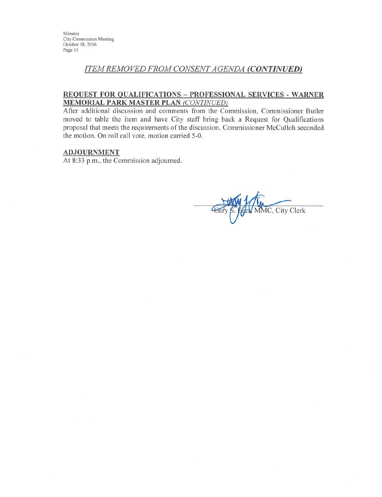Minutes City Commission Meeting October 18, 2016 Page 11

### **ITEM REMOVED FROM CONSENT AGENDA (CONTINUED)**

#### REQUEST FOR QUALIFICATIONS - PROFESSIONAL SERVICES - WARNER **MEMORIAL PARK MASTER PLAN (CONTINUED)**

After additional discussion and comments from the Commission, Commissioner Butler moved to table the item and have City staff bring back a Request for Qualifications proposal that meets the requirements of the discussion. Commissioner McCulloh seconded the motion. On roll call vote, motion carried 5-0.

#### **ADJOURNMENT**

At 8:33 p.m., the Commission adjourned.

 $\mathcal{G}$ MC, City Clerk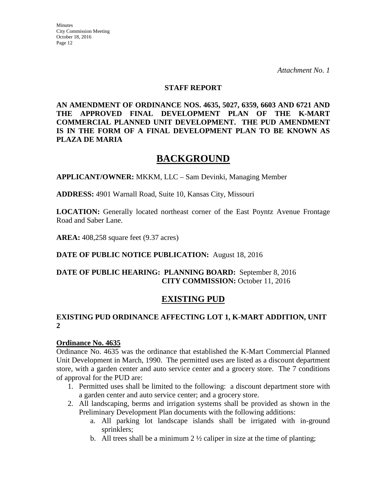**Minutes** City Commission Meeting October 18, 2016 Page 12

*Attachment No. 1* 

#### **STAFF REPORT**

**AN AMENDMENT OF ORDINANCE NOS. 4635, 5027, 6359, 6603 AND 6721 AND THE APPROVED FINAL DEVELOPMENT PLAN OF THE K-MART COMMERCIAL PLANNED UNIT DEVELOPMENT. THE PUD AMENDMENT IS IN THE FORM OF A FINAL DEVELOPMENT PLAN TO BE KNOWN AS PLAZA DE MARIA** 

# **BACKGROUND**

**APPLICANT/OWNER:** MKKM, LLC – Sam Devinki, Managing Member

**ADDRESS:** 4901 Warnall Road, Suite 10, Kansas City, Missouri

**LOCATION:** Generally located northeast corner of the East Poyntz Avenue Frontage Road and Saber Lane.

**AREA:** 408,258 square feet (9.37 acres)

#### **DATE OF PUBLIC NOTICE PUBLICATION:** August 18, 2016

#### **DATE OF PUBLIC HEARING: PLANNING BOARD:** September 8, 2016 **CITY COMMISSION:** October 11, 2016

# **EXISTING PUD**

#### **EXISTING PUD ORDINANCE AFFECTING LOT 1, K-MART ADDITION, UNIT 2**

#### **Ordinance No. 4635**

Ordinance No. 4635 was the ordinance that established the K-Mart Commercial Planned Unit Development in March, 1990. The permitted uses are listed as a discount department store, with a garden center and auto service center and a grocery store. The 7 conditions of approval for the PUD are:

- 1. Permitted uses shall be limited to the following: a discount department store with a garden center and auto service center; and a grocery store.
- 2. All landscaping, berms and irrigation systems shall be provided as shown in the Preliminary Development Plan documents with the following additions:
	- a. All parking lot landscape islands shall be irrigated with in-ground sprinklers;
	- b. All trees shall be a minimum  $2 \frac{1}{2}$  caliper in size at the time of planting;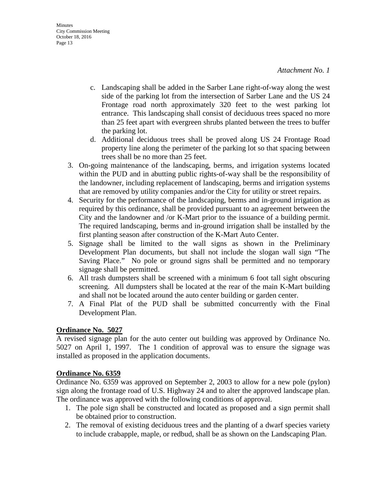- c. Landscaping shall be added in the Sarber Lane right-of-way along the west side of the parking lot from the intersection of Sarber Lane and the US 24 Frontage road north approximately 320 feet to the west parking lot entrance. This landscaping shall consist of deciduous trees spaced no more than 25 feet apart with evergreen shrubs planted between the trees to buffer the parking lot.
- d. Additional deciduous trees shall be proved along US 24 Frontage Road property line along the perimeter of the parking lot so that spacing between trees shall be no more than 25 feet.
- 3. On-going maintenance of the landscaping, berms, and irrigation systems located within the PUD and in abutting public rights-of-way shall be the responsibility of the landowner, including replacement of landscaping, berms and irrigation systems that are removed by utility companies and/or the City for utility or street repairs.
- 4. Security for the performance of the landscaping, berms and in-ground irrigation as required by this ordinance, shall be provided pursuant to an agreement between the City and the landowner and /or K-Mart prior to the issuance of a building permit. The required landscaping, berms and in-ground irrigation shall be installed by the first planting season after construction of the K-Mart Auto Center.
- 5. Signage shall be limited to the wall signs as shown in the Preliminary Development Plan documents, but shall not include the slogan wall sign "The Saving Place." No pole or ground signs shall be permitted and no temporary signage shall be permitted.
- 6. All trash dumpsters shall be screened with a minimum 6 foot tall sight obscuring screening. All dumpsters shall be located at the rear of the main K-Mart building and shall not be located around the auto center building or garden center.
- 7. A Final Plat of the PUD shall be submitted concurrently with the Final Development Plan.

#### **Ordinance No. 5027**

A revised signage plan for the auto center out building was approved by Ordinance No. 5027 on April 1, 1997. The 1 condition of approval was to ensure the signage was installed as proposed in the application documents.

#### **Ordinance No. 6359**

Ordinance No. 6359 was approved on September 2, 2003 to allow for a new pole (pylon) sign along the frontage road of U.S. Highway 24 and to alter the approved landscape plan. The ordinance was approved with the following conditions of approval.

- 1. The pole sign shall be constructed and located as proposed and a sign permit shall be obtained prior to construction.
- 2. The removal of existing deciduous trees and the planting of a dwarf species variety to include crabapple, maple, or redbud, shall be as shown on the Landscaping Plan.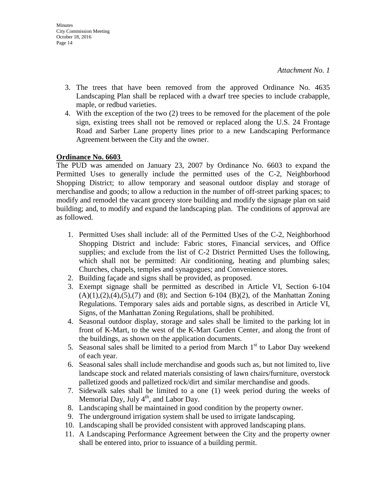- 3. The trees that have been removed from the approved Ordinance No. 4635 Landscaping Plan shall be replaced with a dwarf tree species to include crabapple, maple, or redbud varieties.
- 4. With the exception of the two (2) trees to be removed for the placement of the pole sign, existing trees shall not be removed or replaced along the U.S. 24 Frontage Road and Sarber Lane property lines prior to a new Landscaping Performance Agreement between the City and the owner.

#### **Ordinance No. 6603**

The PUD was amended on January 23, 2007 by Ordinance No. 6603 to expand the Permitted Uses to generally include the permitted uses of the C-2, Neighborhood Shopping District; to allow temporary and seasonal outdoor display and storage of merchandise and goods; to allow a reduction in the number of off-street parking spaces; to modify and remodel the vacant grocery store building and modify the signage plan on said building; and, to modify and expand the landscaping plan. The conditions of approval are as followed.

- 1. Permitted Uses shall include: all of the Permitted Uses of the C-2, Neighborhood Shopping District and include: Fabric stores, Financial services, and Office supplies; and exclude from the list of C-2 District Permitted Uses the following, which shall not be permitted: Air conditioning, heating and plumbing sales; Churches, chapels, temples and synagogues; and Convenience stores.
- 2. Building façade and signs shall be provided, as proposed.
- 3. Exempt signage shall be permitted as described in Article VI, Section 6-104  $(A)(1),(2),(4),(5),(7)$  and  $(8)$ ; and Section 6-104  $(B)(2)$ , of the Manhattan Zoning Regulations. Temporary sales aids and portable signs, as described in Article VI, Signs, of the Manhattan Zoning Regulations, shall be prohibited.
- 4. Seasonal outdoor display, storage and sales shall be limited to the parking lot in front of K-Mart, to the west of the K-Mart Garden Center, and along the front of the buildings, as shown on the application documents.
- 5. Seasonal sales shall be limited to a period from March  $1<sup>st</sup>$  to Labor Day weekend of each year.
- 6. Seasonal sales shall include merchandise and goods such as, but not limited to, live landscape stock and related materials consisting of lawn chairs/furniture, overstock palletized goods and palletized rock/dirt and similar merchandise and goods.
- 7. Sidewalk sales shall be limited to a one (1) week period during the weeks of Memorial Day, July  $4<sup>th</sup>$ , and Labor Day.
- 8. Landscaping shall be maintained in good condition by the property owner.
- 9. The underground irrigation system shall be used to irrigate landscaping.
- 10. Landscaping shall be provided consistent with approved landscaping plans.
- 11. A Landscaping Performance Agreement between the City and the property owner shall be entered into, prior to issuance of a building permit.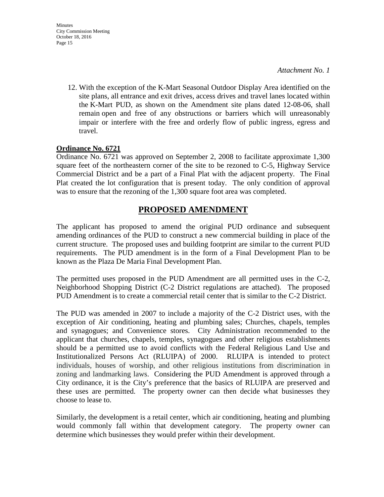- **Minutes** City Commission Meeting October 18, 2016 Page 15
	- 12. With the exception of the K-Mart Seasonal Outdoor Display Area identified on the site plans, all entrance and exit drives, access drives and travel lanes located within the K-Mart PUD, as shown on the Amendment site plans dated 12-08-06, shall remain open and free of any obstructions or barriers which will unreasonably impair or interfere with the free and orderly flow of public ingress, egress and travel.

#### **Ordinance No. 6721**

Ordinance No. 6721 was approved on September 2, 2008 to facilitate approximate 1,300 square feet of the northeastern corner of the site to be rezoned to C-5, Highway Service Commercial District and be a part of a Final Plat with the adjacent property. The Final Plat created the lot configuration that is present today. The only condition of approval was to ensure that the rezoning of the 1,300 square foot area was completed.

### **PROPOSED AMENDMENT**

The applicant has proposed to amend the original PUD ordinance and subsequent amending ordinances of the PUD to construct a new commercial building in place of the current structure. The proposed uses and building footprint are similar to the current PUD requirements. The PUD amendment is in the form of a Final Development Plan to be known as the Plaza De Maria Final Development Plan.

The permitted uses proposed in the PUD Amendment are all permitted uses in the C-2, Neighborhood Shopping District (C-2 District regulations are attached). The proposed PUD Amendment is to create a commercial retail center that is similar to the C-2 District.

The PUD was amended in 2007 to include a majority of the C-2 District uses, with the exception of Air conditioning, heating and plumbing sales; Churches, chapels, temples and synagogues; and Convenience stores. City Administration recommended to the applicant that churches, chapels, temples, synagogues and other religious establishments should be a permitted use to avoid conflicts with the Federal Religious Land Use and Institutionalized Persons Act (RLUIPA) of 2000. RLUIPA is intended to protect individuals, houses of worship, and other religious institutions from discrimination in zoning and landmarking laws. Considering the PUD Amendment is approved through a City ordinance, it is the City's preference that the basics of RLUIPA are preserved and these uses are permitted. The property owner can then decide what businesses they choose to lease to.

Similarly, the development is a retail center, which air conditioning, heating and plumbing would commonly fall within that development category. The property owner can determine which businesses they would prefer within their development.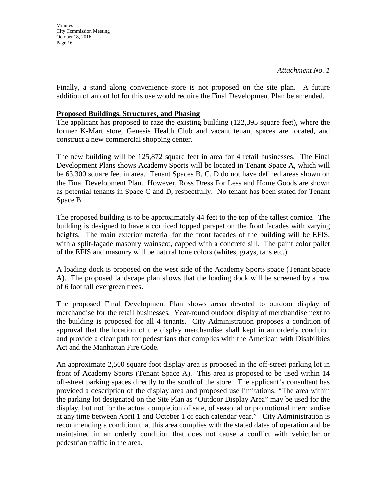**Minutes** City Commission Meeting October 18, 2016 Page 16

Finally, a stand along convenience store is not proposed on the site plan. A future addition of an out lot for this use would require the Final Development Plan be amended.

#### **Proposed Buildings, Structures, and Phasing**

The applicant has proposed to raze the existing building (122,395 square feet), where the former K-Mart store, Genesis Health Club and vacant tenant spaces are located, and construct a new commercial shopping center.

The new building will be 125,872 square feet in area for 4 retail businesses. The Final Development Plans shows Academy Sports will be located in Tenant Space A, which will be 63,300 square feet in area. Tenant Spaces B, C, D do not have defined areas shown on the Final Development Plan. However, Ross Dress For Less and Home Goods are shown as potential tenants in Space C and D, respectfully. No tenant has been stated for Tenant Space B.

The proposed building is to be approximately 44 feet to the top of the tallest cornice. The building is designed to have a corniced topped parapet on the front facades with varying heights. The main exterior material for the front facades of the building will be EFIS, with a split-façade masonry wainscot, capped with a concrete sill. The paint color pallet of the EFIS and masonry will be natural tone colors (whites, grays, tans etc.)

A loading dock is proposed on the west side of the Academy Sports space (Tenant Space A). The proposed landscape plan shows that the loading dock will be screened by a row of 6 foot tall evergreen trees.

The proposed Final Development Plan shows areas devoted to outdoor display of merchandise for the retail businesses. Year-round outdoor display of merchandise next to the building is proposed for all 4 tenants. City Administration proposes a condition of approval that the location of the display merchandise shall kept in an orderly condition and provide a clear path for pedestrians that complies with the American with Disabilities Act and the Manhattan Fire Code.

An approximate 2,500 square foot display area is proposed in the off-street parking lot in front of Academy Sports (Tenant Space A). This area is proposed to be used within 14 off-street parking spaces directly to the south of the store. The applicant's consultant has provided a description of the display area and proposed use limitations: "The area within the parking lot designated on the Site Plan as "Outdoor Display Area" may be used for the display, but not for the actual completion of sale, of seasonal or promotional merchandise at any time between April 1 and October 1 of each calendar year." City Administration is recommending a condition that this area complies with the stated dates of operation and be maintained in an orderly condition that does not cause a conflict with vehicular or pedestrian traffic in the area.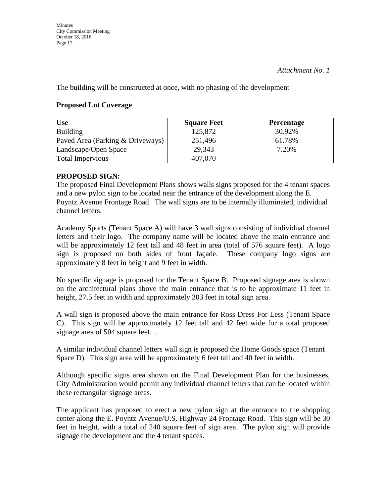The building will be constructed at once, with no phasing of the development

#### **Proposed Lot Coverage**

| Use                              | <b>Square Feet</b> | <b>Percentage</b> |
|----------------------------------|--------------------|-------------------|
| <b>Building</b>                  | 125,872            | 30.92%            |
| Paved Area (Parking & Driveways) | 251,496            | 61.78%            |
| Landscape/Open Space             | 29,343             | 7.20%             |
| <b>Total Impervious</b>          | 407,070            |                   |

#### **PROPOSED SIGN:**

The proposed Final Development Plans shows walls signs proposed for the 4 tenant spaces and a new pylon sign to be located near the entrance of the development along the E. Poyntz Avenue Frontage Road. The wall signs are to be internally illuminated, individual channel letters.

Academy Sports (Tenant Space A) will have 3 wall signs consisting of individual channel letters and their logo. The company name will be located above the main entrance and will be approximately 12 feet tall and 48 feet in area (total of 576 square feet). A logo sign is proposed on both sides of front façade. These company logo signs are approximately 8 feet in height and 9 feet in width.

No specific signage is proposed for the Tenant Space B. Proposed signage area is shown on the architectural plans above the main entrance that is to be approximate 11 feet in height, 27.5 feet in width and approximately 303 feet in total sign area.

A wall sign is proposed above the main entrance for Ross Dress For Less (Tenant Space C). This sign will be approximately 12 feet tall and 42 feet wide for a total proposed signage area of 504 square feet. .

A similar individual channel letters wall sign is proposed the Home Goods space (Tenant Space D). This sign area will be approximately 6 feet tall and 40 feet in width.

Although specific signs area shown on the Final Development Plan for the businesses, City Administration would permit any individual channel letters that can be located within these rectangular signage areas.

The applicant has proposed to erect a new pylon sign at the entrance to the shopping center along the E. Poyntz Avenue/U.S. Highway 24 Frontage Road. This sign will be 30 feet in height, with a total of 240 square feet of sign area. The pylon sign will provide signage the development and the 4 tenant spaces.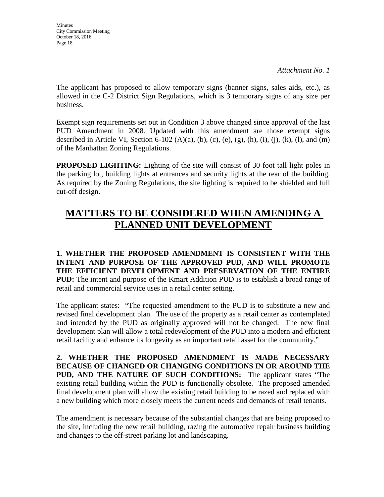**Minutes** City Commission Meeting October 18, 2016 Page 18

The applicant has proposed to allow temporary signs (banner signs, sales aids, etc.), as allowed in the C-2 District Sign Regulations, which is 3 temporary signs of any size per business.

Exempt sign requirements set out in Condition 3 above changed since approval of the last PUD Amendment in 2008. Updated with this amendment are those exempt signs described in Article VI, Section 6-102 (A)(a), (b), (c), (e), (g), (h), (i), (j), (k), (l), and (m) of the Manhattan Zoning Regulations.

**PROPOSED LIGHTING:** Lighting of the site will consist of 30 foot tall light poles in the parking lot, building lights at entrances and security lights at the rear of the building. As required by the Zoning Regulations, the site lighting is required to be shielded and full cut-off design.

# **MATTERS TO BE CONSIDERED WHEN AMENDING A PLANNED UNIT DEVELOPMENT**

**1. WHETHER THE PROPOSED AMENDMENT IS CONSISTENT WITH THE INTENT AND PURPOSE OF THE APPROVED PUD, AND WILL PROMOTE THE EFFICIENT DEVELOPMENT AND PRESERVATION OF THE ENTIRE PUD:** The intent and purpose of the Kmart Addition PUD is to establish a broad range of retail and commercial service uses in a retail center setting.

The applicant states: "The requested amendment to the PUD is to substitute a new and revised final development plan. The use of the property as a retail center as contemplated and intended by the PUD as originally approved will not be changed. The new final development plan will allow a total redevelopment of the PUD into a modern and efficient retail facility and enhance its longevity as an important retail asset for the community."

**2. WHETHER THE PROPOSED AMENDMENT IS MADE NECESSARY BECAUSE OF CHANGED OR CHANGING CONDITIONS IN OR AROUND THE PUD, AND THE NATURE OF SUCH CONDITIONS:** The applicant states "The existing retail building within the PUD is functionally obsolete. The proposed amended final development plan will allow the existing retail building to be razed and replaced with a new building which more closely meets the current needs and demands of retail tenants.

The amendment is necessary because of the substantial changes that are being proposed to the site, including the new retail building, razing the automotive repair business building and changes to the off-street parking lot and landscaping.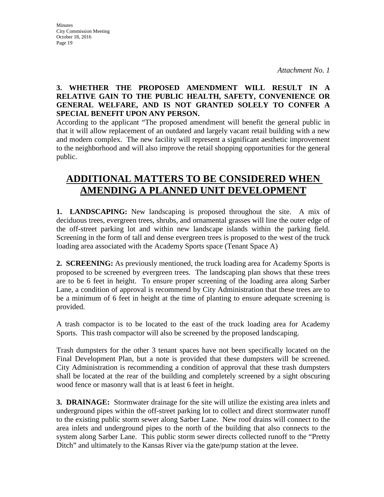### **3. WHETHER THE PROPOSED AMENDMENT WILL RESULT IN A RELATIVE GAIN TO THE PUBLIC HEALTH, SAFETY, CONVENIENCE OR GENERAL WELFARE, AND IS NOT GRANTED SOLELY TO CONFER A SPECIAL BENEFIT UPON ANY PERSON.**

According to the applicant "The proposed amendment will benefit the general public in that it will allow replacement of an outdated and largely vacant retail building with a new and modern complex. The new facility will represent a significant aesthetic improvement to the neighborhood and will also improve the retail shopping opportunities for the general public.

# **ADDITIONAL MATTERS TO BE CONSIDERED WHEN AMENDING A PLANNED UNIT DEVELOPMENT**

**1. LANDSCAPING:** New landscaping is proposed throughout the site. A mix of deciduous trees, evergreen trees, shrubs, and ornamental grasses will line the outer edge of the off-street parking lot and within new landscape islands within the parking field. Screening in the form of tall and dense evergreen trees is proposed to the west of the truck loading area associated with the Academy Sports space (Tenant Space A)

**2. SCREENING:** As previously mentioned, the truck loading area for Academy Sports is proposed to be screened by evergreen trees. The landscaping plan shows that these trees are to be 6 feet in height. To ensure proper screening of the loading area along Sarber Lane, a condition of approval is recommend by City Administration that these trees are to be a minimum of 6 feet in height at the time of planting to ensure adequate screening is provided.

A trash compactor is to be located to the east of the truck loading area for Academy Sports. This trash compactor will also be screened by the proposed landscaping.

Trash dumpsters for the other 3 tenant spaces have not been specifically located on the Final Development Plan, but a note is provided that these dumpsters will be screened. City Administration is recommending a condition of approval that these trash dumpsters shall be located at the rear of the building and completely screened by a sight obscuring wood fence or masonry wall that is at least 6 feet in height.

**3. DRAINAGE:** Stormwater drainage for the site will utilize the existing area inlets and underground pipes within the off-street parking lot to collect and direct stormwater runoff to the existing public storm sewer along Sarber Lane. New roof drains will connect to the area inlets and underground pipes to the north of the building that also connects to the system along Sarber Lane. This public storm sewer directs collected runoff to the "Pretty Ditch" and ultimately to the Kansas River via the gate/pump station at the levee.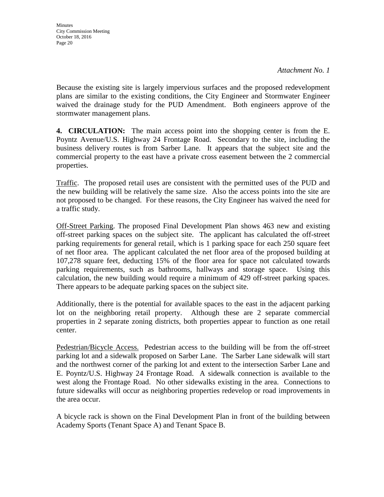Because the existing site is largely impervious surfaces and the proposed redevelopment plans are similar to the existing conditions, the City Engineer and Stormwater Engineer waived the drainage study for the PUD Amendment. Both engineers approve of the stormwater management plans.

**4. CIRCULATION:** The main access point into the shopping center is from the E. Poyntz Avenue/U.S. Highway 24 Frontage Road. Secondary to the site, including the business delivery routes is from Sarber Lane. It appears that the subject site and the commercial property to the east have a private cross easement between the 2 commercial properties.

Traffic. The proposed retail uses are consistent with the permitted uses of the PUD and the new building will be relatively the same size. Also the access points into the site are not proposed to be changed. For these reasons, the City Engineer has waived the need for a traffic study.

Off-Street Parking. The proposed Final Development Plan shows 463 new and existing off-street parking spaces on the subject site. The applicant has calculated the off-street parking requirements for general retail, which is 1 parking space for each 250 square feet of net floor area. The applicant calculated the net floor area of the proposed building at 107,278 square feet, deducting 15% of the floor area for space not calculated towards parking requirements, such as bathrooms, hallways and storage space. Using this calculation, the new building would require a minimum of 429 off-street parking spaces. There appears to be adequate parking spaces on the subject site.

Additionally, there is the potential for available spaces to the east in the adjacent parking lot on the neighboring retail property. Although these are 2 separate commercial properties in 2 separate zoning districts, both properties appear to function as one retail center.

Pedestrian/Bicycle Access. Pedestrian access to the building will be from the off-street parking lot and a sidewalk proposed on Sarber Lane. The Sarber Lane sidewalk will start and the northwest corner of the parking lot and extent to the intersection Sarber Lane and E. Poyntz/U.S. Highway 24 Frontage Road. A sidewalk connection is available to the west along the Frontage Road. No other sidewalks existing in the area. Connections to future sidewalks will occur as neighboring properties redevelop or road improvements in the area occur.

A bicycle rack is shown on the Final Development Plan in front of the building between Academy Sports (Tenant Space A) and Tenant Space B.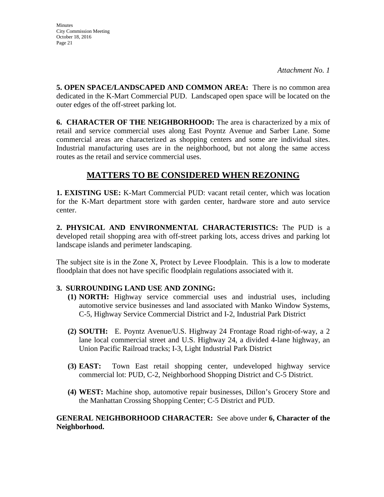**5. OPEN SPACE/LANDSCAPED AND COMMON AREA:** There is no common area dedicated in the K-Mart Commercial PUD. Landscaped open space will be located on the outer edges of the off-street parking lot.

**6. CHARACTER OF THE NEIGHBORHOOD:** The area is characterized by a mix of retail and service commercial uses along East Poyntz Avenue and Sarber Lane. Some commercial areas are characterized as shopping centers and some are individual sites. Industrial manufacturing uses are in the neighborhood, but not along the same access routes as the retail and service commercial uses.

# **MATTERS TO BE CONSIDERED WHEN REZONING**

**1. EXISTING USE:** K-Mart Commercial PUD: vacant retail center, which was location for the K-Mart department store with garden center, hardware store and auto service center.

**2. PHYSICAL AND ENVIRONMENTAL CHARACTERISTICS:** The PUD is a developed retail shopping area with off-street parking lots, access drives and parking lot landscape islands and perimeter landscaping.

The subject site is in the Zone X, Protect by Levee Floodplain. This is a low to moderate floodplain that does not have specific floodplain regulations associated with it.

### **3. SURROUNDING LAND USE AND ZONING:**

- **(1) NORTH:** Highway service commercial uses and industrial uses, including automotive service businesses and land associated with Manko Window Systems, C-5, Highway Service Commercial District and I-2, Industrial Park District
- **(2) SOUTH:** E. Poyntz Avenue/U.S. Highway 24 Frontage Road right-of-way, a 2 lane local commercial street and U.S. Highway 24, a divided 4-lane highway, an Union Pacific Railroad tracks; I-3, Light Industrial Park District
- **(3) EAST:** Town East retail shopping center, undeveloped highway service commercial lot: PUD, C-2, Neighborhood Shopping District and C-5 District.
- **(4) WEST:** Machine shop, automotive repair businesses, Dillon's Grocery Store and the Manhattan Crossing Shopping Center; C-5 District and PUD.

### **GENERAL NEIGHBORHOOD CHARACTER:** See above under **6, Character of the Neighborhood.**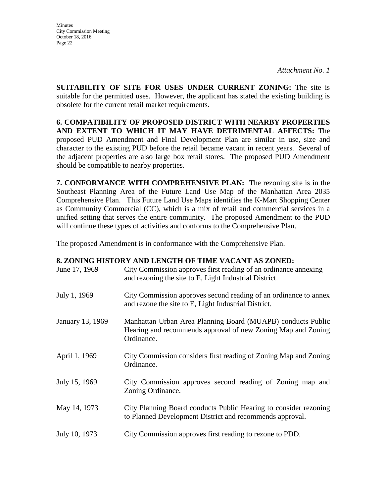**SUITABILITY OF SITE FOR USES UNDER CURRENT ZONING:** The site is suitable for the permitted uses. However, the applicant has stated the existing building is obsolete for the current retail market requirements.

**6. COMPATIBILITY OF PROPOSED DISTRICT WITH NEARBY PROPERTIES AND EXTENT TO WHICH IT MAY HAVE DETRIMENTAL AFFECTS:** The proposed PUD Amendment and Final Development Plan are similar in use, size and character to the existing PUD before the retail became vacant in recent years. Several of the adjacent properties are also large box retail stores. The proposed PUD Amendment should be compatible to nearby properties.

**7. CONFORMANCE WITH COMPREHENSIVE PLAN:** The rezoning site is in the Southeast Planning Area of the Future Land Use Map of the Manhattan Area 2035 Comprehensive Plan. This Future Land Use Maps identifies the K-Mart Shopping Center as Community Commercial (CC), which is a mix of retail and commercial services in a unified setting that serves the entire community. The proposed Amendment to the PUD will continue these types of activities and conforms to the Comprehensive Plan.

The proposed Amendment is in conformance with the Comprehensive Plan.

#### **8. ZONING HISTORY AND LENGTH OF TIME VACANT AS ZONED:**

| June 17, 1969    | City Commission approves first reading of an ordinance annexing<br>and rezoning the site to E, Light Industrial District.                 |
|------------------|-------------------------------------------------------------------------------------------------------------------------------------------|
| July 1, 1969     | City Commission approves second reading of an ordinance to annex<br>and rezone the site to E, Light Industrial District.                  |
| January 13, 1969 | Manhattan Urban Area Planning Board (MUAPB) conducts Public<br>Hearing and recommends approval of new Zoning Map and Zoning<br>Ordinance. |
| April 1, 1969    | City Commission considers first reading of Zoning Map and Zoning<br>Ordinance.                                                            |
| July 15, 1969    | City Commission approves second reading of Zoning map and<br>Zoning Ordinance.                                                            |
| May 14, 1973     | City Planning Board conducts Public Hearing to consider rezoning<br>to Planned Development District and recommends approval.              |
| July 10, 1973    | City Commission approves first reading to rezone to PDD.                                                                                  |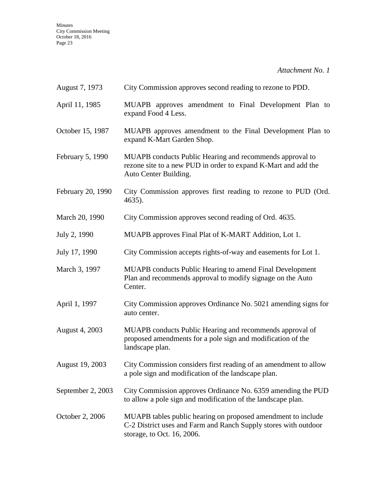Minutes City Commission Meeting October 18, 2016 Page 23

*Attachment No. 1* 

| August 7, 1973    | City Commission approves second reading to rezone to PDD.                                                                                                     |
|-------------------|---------------------------------------------------------------------------------------------------------------------------------------------------------------|
| April 11, 1985    | MUAPB approves amendment to Final Development Plan to<br>expand Food 4 Less.                                                                                  |
| October 15, 1987  | MUAPB approves amendment to the Final Development Plan to<br>expand K-Mart Garden Shop.                                                                       |
| February 5, 1990  | MUAPB conducts Public Hearing and recommends approval to<br>rezone site to a new PUD in order to expand K-Mart and add the<br>Auto Center Building.           |
| February 20, 1990 | City Commission approves first reading to rezone to PUD (Ord.<br>4635).                                                                                       |
| March 20, 1990    | City Commission approves second reading of Ord. 4635.                                                                                                         |
| July 2, 1990      | MUAPB approves Final Plat of K-MART Addition, Lot 1.                                                                                                          |
| July 17, 1990     | City Commission accepts rights-of-way and easements for Lot 1.                                                                                                |
| March 3, 1997     | <b>MUAPB</b> conducts Public Hearing to amend Final Development<br>Plan and recommends approval to modify signage on the Auto<br>Center.                      |
| April 1, 1997     | City Commission approves Ordinance No. 5021 amending signs for<br>auto center.                                                                                |
| August 4, 2003    | MUAPB conducts Public Hearing and recommends approval of<br>proposed amendments for a pole sign and modification of the<br>landscape plan.                    |
| August 19, 2003   | City Commission considers first reading of an amendment to allow<br>a pole sign and modification of the landscape plan.                                       |
| September 2, 2003 | City Commission approves Ordinance No. 6359 amending the PUD<br>to allow a pole sign and modification of the landscape plan.                                  |
| October 2, 2006   | MUAPB tables public hearing on proposed amendment to include<br>C-2 District uses and Farm and Ranch Supply stores with outdoor<br>storage, to Oct. 16, 2006. |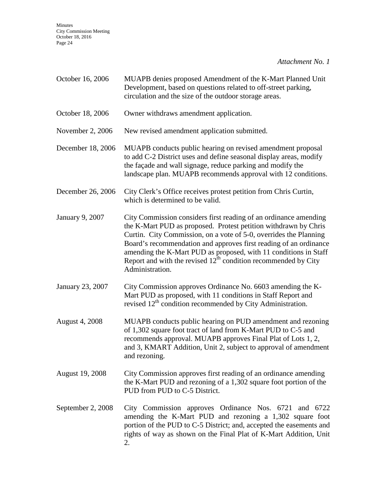Minutes City Commission Meeting October 18, 2016 Page 24

*Attachment No. 1* 

| October 16, 2006       | MUAPB denies proposed Amendment of the K-Mart Planned Unit<br>Development, based on questions related to off-street parking,<br>circulation and the size of the outdoor storage areas.                                                                                                                                                                                                                                                   |
|------------------------|------------------------------------------------------------------------------------------------------------------------------------------------------------------------------------------------------------------------------------------------------------------------------------------------------------------------------------------------------------------------------------------------------------------------------------------|
| October 18, 2006       | Owner withdraws amendment application.                                                                                                                                                                                                                                                                                                                                                                                                   |
| November 2, 2006       | New revised amendment application submitted.                                                                                                                                                                                                                                                                                                                                                                                             |
| December 18, 2006      | MUAPB conducts public hearing on revised amendment proposal<br>to add C-2 District uses and define seasonal display areas, modify<br>the façade and wall signage, reduce parking and modify the<br>landscape plan. MUAPB recommends approval with 12 conditions.                                                                                                                                                                         |
| December 26, 2006      | City Clerk's Office receives protest petition from Chris Curtin,<br>which is determined to be valid.                                                                                                                                                                                                                                                                                                                                     |
| January 9, 2007        | City Commission considers first reading of an ordinance amending<br>the K-Mart PUD as proposed. Protest petition withdrawn by Chris<br>Curtin. City Commission, on a vote of 5-0, overrides the Planning<br>Board's recommendation and approves first reading of an ordinance<br>amending the K-Mart PUD as proposed, with 11 conditions in Staff<br>Report and with the revised $12th$ condition recommended by City<br>Administration. |
| January 23, 2007       | City Commission approves Ordinance No. 6603 amending the K-<br>Mart PUD as proposed, with 11 conditions in Staff Report and<br>revised 12 <sup>th</sup> condition recommended by City Administration.                                                                                                                                                                                                                                    |
| <b>August 4, 2008</b>  | MUAPB conducts public hearing on PUD amendment and rezoning<br>of 1,302 square foot tract of land from K-Mart PUD to C-5 and<br>recommends approval. MUAPB approves Final Plat of Lots 1, 2,<br>and 3, KMART Addition, Unit 2, subject to approval of amendment<br>and rezoning.                                                                                                                                                         |
| <b>August 19, 2008</b> | City Commission approves first reading of an ordinance amending<br>the K-Mart PUD and rezoning of a 1,302 square foot portion of the<br>PUD from PUD to C-5 District.                                                                                                                                                                                                                                                                    |
| September 2, 2008      | City Commission approves Ordinance Nos. 6721 and 6722<br>amending the K-Mart PUD and rezoning a 1,302 square foot<br>portion of the PUD to C-5 District; and, accepted the easements and<br>rights of way as shown on the Final Plat of K-Mart Addition, Unit<br>2.                                                                                                                                                                      |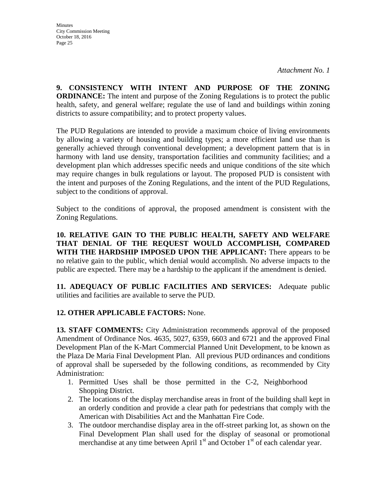**9. CONSISTENCY WITH INTENT AND PURPOSE OF THE ZONING ORDINANCE:** The intent and purpose of the Zoning Regulations is to protect the public health, safety, and general welfare; regulate the use of land and buildings within zoning districts to assure compatibility; and to protect property values.

The PUD Regulations are intended to provide a maximum choice of living environments by allowing a variety of housing and building types; a more efficient land use than is generally achieved through conventional development; a development pattern that is in harmony with land use density, transportation facilities and community facilities; and a development plan which addresses specific needs and unique conditions of the site which may require changes in bulk regulations or layout. The proposed PUD is consistent with the intent and purposes of the Zoning Regulations, and the intent of the PUD Regulations, subject to the conditions of approval.

Subject to the conditions of approval, the proposed amendment is consistent with the Zoning Regulations.

**10. RELATIVE GAIN TO THE PUBLIC HEALTH, SAFETY AND WELFARE THAT DENIAL OF THE REQUEST WOULD ACCOMPLISH, COMPARED WITH THE HARDSHIP IMPOSED UPON THE APPLICANT:** There appears to be no relative gain to the public, which denial would accomplish. No adverse impacts to the public are expected. There may be a hardship to the applicant if the amendment is denied.

**11. ADEQUACY OF PUBLIC FACILITIES AND SERVICES:** Adequate public utilities and facilities are available to serve the PUD.

### **12. OTHER APPLICABLE FACTORS:** None.

**13. STAFF COMMENTS:** City Administration recommends approval of the proposed Amendment of Ordinance Nos. 4635, 5027, 6359, 6603 and 6721 and the approved Final Development Plan of the K-Mart Commercial Planned Unit Development, to be known as the Plaza De Maria Final Development Plan. All previous PUD ordinances and conditions of approval shall be superseded by the following conditions, as recommended by City Administration:

- 1. Permitted Uses shall be those permitted in the C-2, Neighborhood Shopping District.
- 2. The locations of the display merchandise areas in front of the building shall kept in an orderly condition and provide a clear path for pedestrians that comply with the American with Disabilities Act and the Manhattan Fire Code.
- 3. The outdoor merchandise display area in the off-street parking lot, as shown on the Final Development Plan shall used for the display of seasonal or promotional merchandise at any time between April  $1<sup>st</sup>$  and October  $1<sup>st</sup>$  of each calendar year.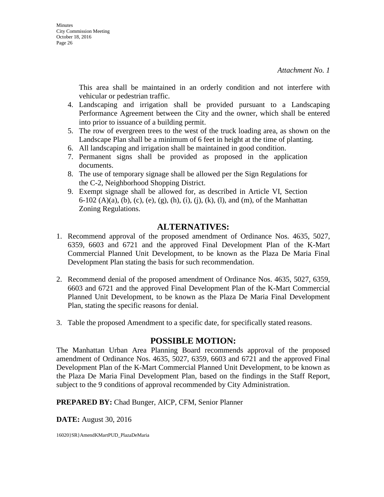This area shall be maintained in an orderly condition and not interfere with vehicular or pedestrian traffic.

- 4. Landscaping and irrigation shall be provided pursuant to a Landscaping Performance Agreement between the City and the owner, which shall be entered into prior to issuance of a building permit.
- 5. The row of evergreen trees to the west of the truck loading area, as shown on the Landscape Plan shall be a minimum of 6 feet in height at the time of planting.
- 6. All landscaping and irrigation shall be maintained in good condition.
- 7. Permanent signs shall be provided as proposed in the application documents.
- 8. The use of temporary signage shall be allowed per the Sign Regulations for the C-2, Neighborhood Shopping District.
- 9. Exempt signage shall be allowed for, as described in Article VI, Section 6-102 (A)(a), (b), (c), (e), (g), (h), (i), (j), (k), (l), and (m), of the Manhattan Zoning Regulations.

# **ALTERNATIVES:**

- 1. Recommend approval of the proposed amendment of Ordinance Nos. 4635, 5027, 6359, 6603 and 6721 and the approved Final Development Plan of the K-Mart Commercial Planned Unit Development, to be known as the Plaza De Maria Final Development Plan stating the basis for such recommendation.
- 2. Recommend denial of the proposed amendment of Ordinance Nos. 4635, 5027, 6359, 6603 and 6721 and the approved Final Development Plan of the K-Mart Commercial Planned Unit Development, to be known as the Plaza De Maria Final Development Plan, stating the specific reasons for denial.
- 3. Table the proposed Amendment to a specific date, for specifically stated reasons.

### **POSSIBLE MOTION:**

The Manhattan Urban Area Planning Board recommends approval of the proposed amendment of Ordinance Nos. 4635, 5027, 6359, 6603 and 6721 and the approved Final Development Plan of the K-Mart Commercial Planned Unit Development, to be known as the Plaza De Maria Final Development Plan, based on the findings in the Staff Report, subject to the 9 conditions of approval recommended by City Administration.

**PREPARED BY:** Chad Bunger, AICP, CFM, Senior Planner

**DATE:** August 30, 2016

16020}SR}AmendKMartPUD\_PlazaDeMaria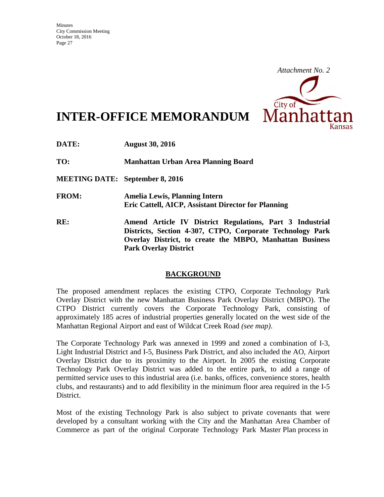

# **INTER-OFFICE MEMORANDUM**

**DATE: August 30, 2016** 

**TO: Manhattan Urban Area Planning Board** 

**MEETING DATE: September 8, 2016** 

- **FROM: Amelia Lewis, Planning Intern Eric Cattell, AICP, Assistant Director for Planning**
- **RE: Amend Article IV District Regulations, Part 3 Industrial Districts, Section 4-307, CTPO, Corporate Technology Park Overlay District, to create the MBPO, Manhattan Business Park Overlay District**

#### **BACKGROUND**

The proposed amendment replaces the existing CTPO, Corporate Technology Park Overlay District with the new Manhattan Business Park Overlay District (MBPO). The CTPO District currently covers the Corporate Technology Park, consisting of approximately 185 acres of industrial properties generally located on the west side of the Manhattan Regional Airport and east of Wildcat Creek Road *(see map)*.

The Corporate Technology Park was annexed in 1999 and zoned a combination of I-3, Light Industrial District and I-5, Business Park District, and also included the AO, Airport Overlay District due to its proximity to the Airport. In 2005 the existing Corporate Technology Park Overlay District was added to the entire park, to add a range of permitted service uses to this industrial area (i.e. banks, offices, convenience stores, health clubs, and restaurants) and to add flexibility in the minimum floor area required in the I-5 District.

Most of the existing Technology Park is also subject to private covenants that were developed by a consultant working with the City and the Manhattan Area Chamber of Commerce as part of the original Corporate Technology Park Master Plan process in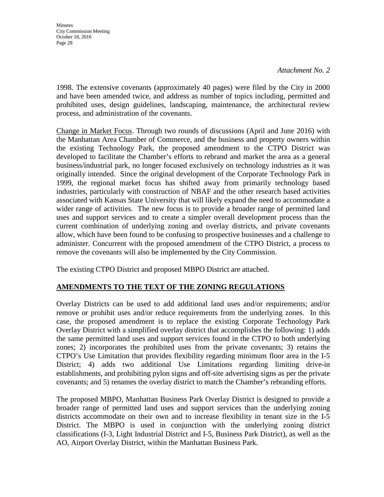1998. The extensive covenants (approximately 40 pages) were filed by the City in 2000 and have been amended twice, and address as number of topics including, permitted and prohibited uses, design guidelines, landscaping, maintenance, the architectural review process, and administration of the covenants.

Change in Market Focus. Through two rounds of discussions (April and June 2016) with the Manhattan Area Chamber of Commerce, and the business and property owners within the existing Technology Park, the proposed amendment to the CTPO District was developed to facilitate the Chamber's efforts to rebrand and market the area as a general business/industrial park, no longer focused exclusively on technology industries as it was originally intended. Since the original development of the Corporate Technology Park in 1999, the regional market focus has shifted away from primarily technology based industries, particularly with construction of NBAF and the other research based activities associated with Kansas State University that will likely expand the need to accommodate a wider range of activities. The new focus is to provide a broader range of permitted land uses and support services and to create a simpler overall development process than the current combination of underlying zoning and overlay districts, and private covenants allow, which have been found to be confusing to prospective businesses and a challenge to administer. Concurrent with the proposed amendment of the CTPO District, a process to remove the covenants will also be implemented by the City Commission.

The existing CTPO District and proposed MBPO District are attached.

#### **AMENDMENTS TO THE TEXT OF THE ZONING REGULATIONS**

Overlay Districts can be used to add additional land uses and/or requirements; and/or remove or prohibit uses and/or reduce requirements from the underlying zones. In this case, the proposed amendment is to replace the existing Corporate Technology Park Overlay District with a simplified overlay district that accomplishes the following: 1) adds the same permitted land uses and support services found in the CTPO to both underlying zones; 2) incorporates the prohibited uses from the private covenants; 3) retains the CTPO's Use Limitation that provides flexibility regarding minimum floor area in the I-5 District; 4) adds two additional Use Limitations regarding limiting drive-in establishments, and prohibiting pylon signs and off-site advertising signs as per the private covenants; and 5) renames the overlay district to match the Chamber's rebranding efforts.

The proposed MBPO, Manhattan Business Park Overlay District is designed to provide a broader range of permitted land uses and support services than the underlying zoning districts accommodate on their own and to increase flexibility in tenant size in the I-5 District. The MBPO is used in conjunction with the underlying zoning district classifications (I-3, Light Industrial District and I-5, Business Park District), as well as the AO, Airport Overlay District, within the Manhattan Business Park.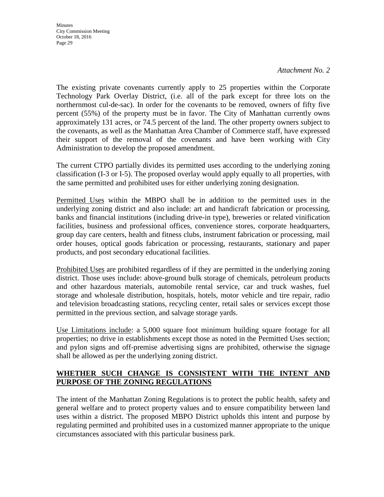**Minutes** City Commission Meeting October 18, 2016 Page 29

*Attachment No. 2* 

The existing private covenants currently apply to 25 properties within the Corporate Technology Park Overlay District, (i.e. all of the park except for three lots on the northernmost cul-de-sac). In order for the covenants to be removed, owners of fifty five percent (55%) of the property must be in favor. The City of Manhattan currently owns approximately 131 acres, or 74.5 percent of the land. The other property owners subject to the covenants, as well as the Manhattan Area Chamber of Commerce staff, have expressed their support of the removal of the covenants and have been working with City Administration to develop the proposed amendment.

The current CTPO partially divides its permitted uses according to the underlying zoning classification (I-3 or I-5). The proposed overlay would apply equally to all properties, with the same permitted and prohibited uses for either underlying zoning designation.

Permitted Uses within the MBPO shall be in addition to the permitted uses in the underlying zoning district and also include: art and handicraft fabrication or processing, banks and financial institutions (including drive-in type), breweries or related vinification facilities, business and professional offices, convenience stores, corporate headquarters, group day care centers, health and fitness clubs, instrument fabrication or processing, mail order houses, optical goods fabrication or processing, restaurants, stationary and paper products, and post secondary educational facilities.

Prohibited Uses are prohibited regardless of if they are permitted in the underlying zoning district. Those uses include: above-ground bulk storage of chemicals, petroleum products and other hazardous materials, automobile rental service, car and truck washes, fuel storage and wholesale distribution, hospitals, hotels, motor vehicle and tire repair, radio and television broadcasting stations, recycling center, retail sales or services except those permitted in the previous section, and salvage storage yards.

Use Limitations include: a 5,000 square foot minimum building square footage for all properties; no drive in establishments except those as noted in the Permitted Uses section; and pylon signs and off-premise advertising signs are prohibited, otherwise the signage shall be allowed as per the underlying zoning district.

### **WHETHER SUCH CHANGE IS CONSISTENT WITH THE INTENT AND PURPOSE OF THE ZONING REGULATIONS**

The intent of the Manhattan Zoning Regulations is to protect the public health, safety and general welfare and to protect property values and to ensure compatibility between land uses within a district. The proposed MBPO District upholds this intent and purpose by regulating permitted and prohibited uses in a customized manner appropriate to the unique circumstances associated with this particular business park.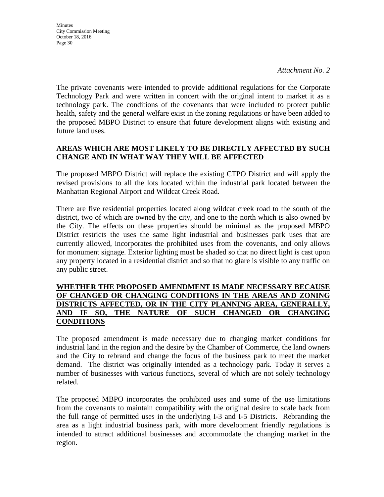**Minutes** City Commission Meeting October 18, 2016 Page 30

The private covenants were intended to provide additional regulations for the Corporate Technology Park and were written in concert with the original intent to market it as a technology park. The conditions of the covenants that were included to protect public health, safety and the general welfare exist in the zoning regulations or have been added to the proposed MBPO District to ensure that future development aligns with existing and future land uses.

#### **AREAS WHICH ARE MOST LIKELY TO BE DIRECTLY AFFECTED BY SUCH CHANGE AND IN WHAT WAY THEY WILL BE AFFECTED**

The proposed MBPO District will replace the existing CTPO District and will apply the revised provisions to all the lots located within the industrial park located between the Manhattan Regional Airport and Wildcat Creek Road.

There are five residential properties located along wildcat creek road to the south of the district, two of which are owned by the city, and one to the north which is also owned by the City. The effects on these properties should be minimal as the proposed MBPO District restricts the uses the same light industrial and businesses park uses that are currently allowed, incorporates the prohibited uses from the covenants, and only allows for monument signage. Exterior lighting must be shaded so that no direct light is cast upon any property located in a residential district and so that no glare is visible to any traffic on any public street.

#### **WHETHER THE PROPOSED AMENDMENT IS MADE NECESSARY BECAUSE OF CHANGED OR CHANGING CONDITIONS IN THE AREAS AND ZONING DISTRICTS AFFECTED, OR IN THE CITY PLANNING AREA, GENERALLY, AND IF SO, THE NATURE OF SUCH CHANGED OR CHANGING CONDITIONS**

The proposed amendment is made necessary due to changing market conditions for industrial land in the region and the desire by the Chamber of Commerce, the land owners and the City to rebrand and change the focus of the business park to meet the market demand. The district was originally intended as a technology park. Today it serves a number of businesses with various functions, several of which are not solely technology related.

The proposed MBPO incorporates the prohibited uses and some of the use limitations from the covenants to maintain compatibility with the original desire to scale back from the full range of permitted uses in the underlying I-3 and I-5 Districts. Rebranding the area as a light industrial business park, with more development friendly regulations is intended to attract additional businesses and accommodate the changing market in the region.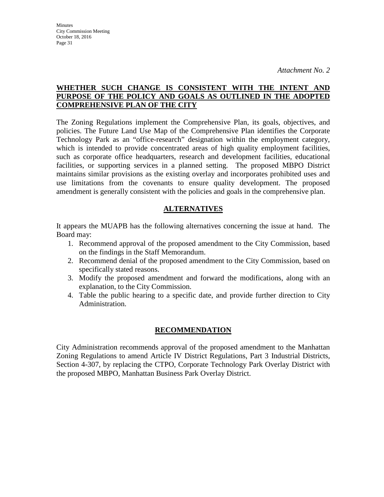#### **WHETHER SUCH CHANGE IS CONSISTENT WITH THE INTENT AND PURPOSE OF THE POLICY AND GOALS AS OUTLINED IN THE ADOPTED COMPREHENSIVE PLAN OF THE CITY**

The Zoning Regulations implement the Comprehensive Plan, its goals, objectives, and policies. The Future Land Use Map of the Comprehensive Plan identifies the Corporate Technology Park as an "office-research" designation within the employment category, which is intended to provide concentrated areas of high quality employment facilities, such as corporate office headquarters, research and development facilities, educational facilities, or supporting services in a planned setting. The proposed MBPO District maintains similar provisions as the existing overlay and incorporates prohibited uses and use limitations from the covenants to ensure quality development. The proposed amendment is generally consistent with the policies and goals in the comprehensive plan.

### **ALTERNATIVES**

It appears the MUAPB has the following alternatives concerning the issue at hand. The Board may:

- 1. Recommend approval of the proposed amendment to the City Commission, based on the findings in the Staff Memorandum.
- 2. Recommend denial of the proposed amendment to the City Commission, based on specifically stated reasons.
- 3. Modify the proposed amendment and forward the modifications, along with an explanation, to the City Commission.
- 4. Table the public hearing to a specific date, and provide further direction to City Administration.

#### **RECOMMENDATION**

City Administration recommends approval of the proposed amendment to the Manhattan Zoning Regulations to amend Article IV District Regulations, Part 3 Industrial Districts, Section 4-307, by replacing the CTPO, Corporate Technology Park Overlay District with the proposed MBPO, Manhattan Business Park Overlay District.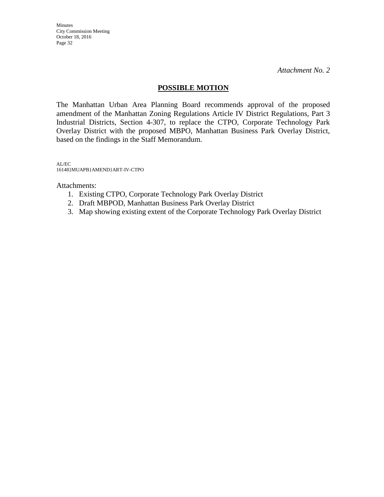Minutes City Commission Meeting October 18, 2016 Page 32

*Attachment No. 2* 

#### **POSSIBLE MOTION**

The Manhattan Urban Area Planning Board recommends approval of the proposed amendment of the Manhattan Zoning Regulations Article IV District Regulations, Part 3 Industrial Districts, Section 4-307, to replace the CTPO, Corporate Technology Park Overlay District with the proposed MBPO, Manhattan Business Park Overlay District, based on the findings in the Staff Memorandum.

AL/EC 16148}MUAPB}AMEND}ART-IV-CTPO

Attachments:

- 1. Existing CTPO, Corporate Technology Park Overlay District
- 2. Draft MBPOD, Manhattan Business Park Overlay District
- 3. Map showing existing extent of the Corporate Technology Park Overlay District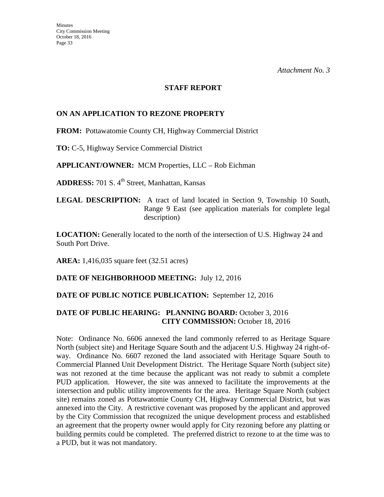#### **STAFF REPORT**

#### **ON AN APPLICATION TO REZONE PROPERTY**

**FROM:** Pottawatomie County CH, Highway Commercial District

**TO:** C-5, Highway Service Commercial District

**APPLICANT/OWNER:** MCM Properties, LLC – Rob Eichman

ADDRESS: 701 S. 4<sup>th</sup> Street, Manhattan, Kansas

**LEGAL DESCRIPTION:** A tract of land located in Section 9, Township 10 South, Range 9 East (see application materials for complete legal description)

**LOCATION:** Generally located to the north of the intersection of U.S. Highway 24 and South Port Drive.

**AREA:** 1,416,035 square feet (32.51 acres)

**DATE OF NEIGHBORHOOD MEETING:** July 12, 2016

#### **DATE OF PUBLIC NOTICE PUBLICATION:** September 12, 2016

#### **DATE OF PUBLIC HEARING: PLANNING BOARD:** October 3, 2016 **CITY COMMISSION:** October 18, 2016

Note: Ordinance No. 6606 annexed the land commonly referred to as Heritage Square North (subject site) and Heritage Square South and the adjacent U.S. Highway 24 right-ofway. Ordinance No. 6607 rezoned the land associated with Heritage Square South to Commercial Planned Unit Development District. The Heritage Square North (subject site) was not rezoned at the time because the applicant was not ready to submit a complete PUD application. However, the site was annexed to facilitate the improvements at the intersection and public utility improvements for the area. Heritage Square North (subject site) remains zoned as Pottawatomie County CH, Highway Commercial District, but was annexed into the City. A restrictive covenant was proposed by the applicant and approved by the City Commission that recognized the unique development process and established an agreement that the property owner would apply for City rezoning before any platting or building permits could be completed. The preferred district to rezone to at the time was to a PUD, but it was not mandatory.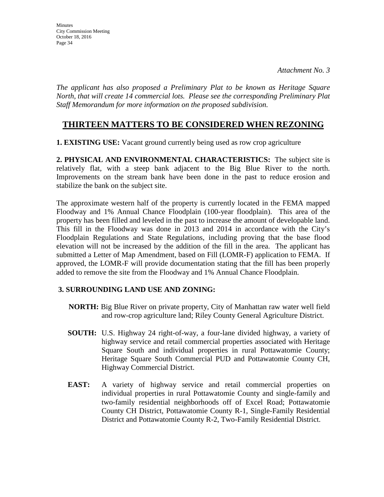*The applicant has also proposed a Preliminary Plat to be known as Heritage Square North, that will create 14 commercial lots. Please see the corresponding Preliminary Plat Staff Memorandum for more information on the proposed subdivision.* 

### **THIRTEEN MATTERS TO BE CONSIDERED WHEN REZONING**

**1. EXISTING USE:** Vacant ground currently being used as row crop agriculture

**2. PHYSICAL AND ENVIRONMENTAL CHARACTERISTICS:** The subject site is relatively flat, with a steep bank adjacent to the Big Blue River to the north. Improvements on the stream bank have been done in the past to reduce erosion and stabilize the bank on the subject site.

The approximate western half of the property is currently located in the FEMA mapped Floodway and 1% Annual Chance Floodplain (100-year floodplain). This area of the property has been filled and leveled in the past to increase the amount of developable land. This fill in the Floodway was done in 2013 and 2014 in accordance with the City's Floodplain Regulations and State Regulations, including proving that the base flood elevation will not be increased by the addition of the fill in the area. The applicant has submitted a Letter of Map Amendment, based on Fill (LOMR-F) application to FEMA. If approved, the LOMR-F will provide documentation stating that the fill has been properly added to remove the site from the Floodway and 1% Annual Chance Floodplain.

#### **3. SURROUNDING LAND USE AND ZONING:**

- **NORTH:** Big Blue River on private property, City of Manhattan raw water well field and row-crop agriculture land; Riley County General Agriculture District.
- **SOUTH:** U.S. Highway 24 right-of-way, a four-lane divided highway, a variety of highway service and retail commercial properties associated with Heritage Square South and individual properties in rural Pottawatomie County; Heritage Square South Commercial PUD and Pottawatomie County CH, Highway Commercial District.
- **EAST:** A variety of highway service and retail commercial properties on individual properties in rural Pottawatomie County and single-family and two-family residential neighborhoods off of Excel Road; Pottawatomie County CH District, Pottawatomie County R-1, Single-Family Residential District and Pottawatomie County R-2, Two-Family Residential District.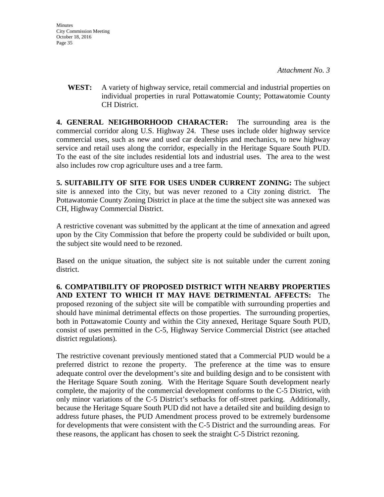**WEST:** A variety of highway service, retail commercial and industrial properties on individual properties in rural Pottawatomie County; Pottawatomie County CH District.

**4. GENERAL NEIGHBORHOOD CHARACTER:** The surrounding area is the commercial corridor along U.S. Highway 24. These uses include older highway service commercial uses, such as new and used car dealerships and mechanics, to new highway service and retail uses along the corridor, especially in the Heritage Square South PUD. To the east of the site includes residential lots and industrial uses. The area to the west also includes row crop agriculture uses and a tree farm.

**5. SUITABILITY OF SITE FOR USES UNDER CURRENT ZONING:** The subject site is annexed into the City, but was never rezoned to a City zoning district. The Pottawatomie County Zoning District in place at the time the subject site was annexed was CH, Highway Commercial District.

A restrictive covenant was submitted by the applicant at the time of annexation and agreed upon by the City Commission that before the property could be subdivided or built upon, the subject site would need to be rezoned.

Based on the unique situation, the subject site is not suitable under the current zoning district.

**6. COMPATIBILITY OF PROPOSED DISTRICT WITH NEARBY PROPERTIES AND EXTENT TO WHICH IT MAY HAVE DETRIMENTAL AFFECTS:** The proposed rezoning of the subject site will be compatible with surrounding properties and should have minimal detrimental effects on those properties. The surrounding properties, both in Pottawatomie County and within the City annexed, Heritage Square South PUD, consist of uses permitted in the C-5, Highway Service Commercial District (see attached district regulations).

The restrictive covenant previously mentioned stated that a Commercial PUD would be a preferred district to rezone the property. The preference at the time was to ensure adequate control over the development's site and building design and to be consistent with the Heritage Square South zoning. With the Heritage Square South development nearly complete, the majority of the commercial development conforms to the C-5 District, with only minor variations of the C-5 District's setbacks for off-street parking. Additionally, because the Heritage Square South PUD did not have a detailed site and building design to address future phases, the PUD Amendment process proved to be extremely burdensome for developments that were consistent with the C-5 District and the surrounding areas. For these reasons, the applicant has chosen to seek the straight C-5 District rezoning.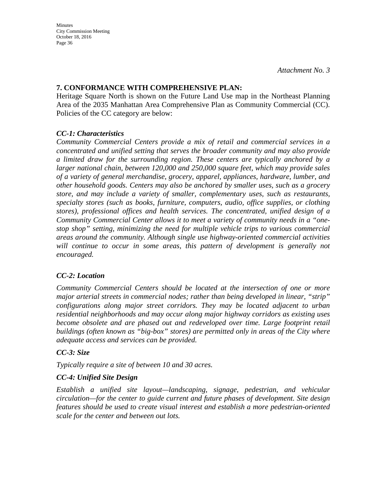#### **7. CONFORMANCE WITH COMPREHENSIVE PLAN:**

Heritage Square North is shown on the Future Land Use map in the Northeast Planning Area of the 2035 Manhattan Area Comprehensive Plan as Community Commercial (CC). Policies of the CC category are below:

### *CC-1: Characteristics*

*Community Commercial Centers provide a mix of retail and commercial services in a concentrated and unified setting that serves the broader community and may also provide a limited draw for the surrounding region. These centers are typically anchored by a larger national chain, between 120,000 and 250,000 square feet, which may provide sales of a variety of general merchandise, grocery, apparel, appliances, hardware, lumber, and other household goods. Centers may also be anchored by smaller uses, such as a grocery store, and may include a variety of smaller, complementary uses, such as restaurants, specialty stores (such as books, furniture, computers, audio, office supplies, or clothing stores), professional offices and health services. The concentrated, unified design of a Community Commercial Center allows it to meet a variety of community needs in a "onestop shop" setting, minimizing the need for multiple vehicle trips to various commercial areas around the community. Although single use highway-oriented commercial activities*  will continue to occur in some areas, this pattern of development is generally not *encouraged.* 

### *CC-2: Location*

*Community Commercial Centers should be located at the intersection of one or more major arterial streets in commercial nodes; rather than being developed in linear, "strip" configurations along major street corridors. They may be located adjacent to urban residential neighborhoods and may occur along major highway corridors as existing uses become obsolete and are phased out and redeveloped over time. Large footprint retail buildings (often known as "big-box" stores) are permitted only in areas of the City where adequate access and services can be provided.* 

### *CC-3: Size*

*Typically require a site of between 10 and 30 acres.* 

### *CC-4: Unified Site Design*

*Establish a unified site layout—landscaping, signage, pedestrian, and vehicular circulation—for the center to guide current and future phases of development. Site design features should be used to create visual interest and establish a more pedestrian-oriented scale for the center and between out lots.*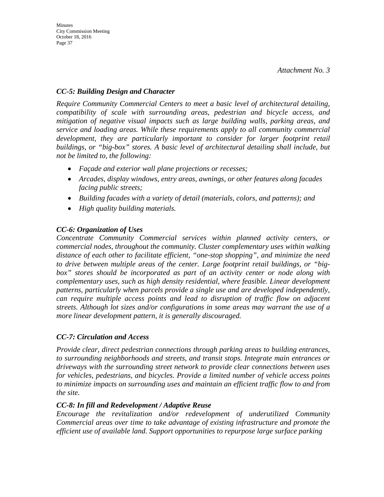#### *CC-5: Building Design and Character*

*Require Community Commercial Centers to meet a basic level of architectural detailing, compatibility of scale with surrounding areas, pedestrian and bicycle access, and mitigation of negative visual impacts such as large building walls, parking areas, and service and loading areas. While these requirements apply to all community commercial development, they are particularly important to consider for larger footprint retail buildings, or "big-box" stores. A basic level of architectural detailing shall include, but not be limited to, the following:* 

- *Façade and exterior wall plane projections or recesses;*
- *Arcades, display windows, entry areas, awnings, or other features along facades facing public streets;*
- *Building facades with a variety of detail (materials, colors, and patterns); and*
- *High quality building materials.*

### *CC-6: Organization of Uses*

*Concentrate Community Commercial services within planned activity centers, or commercial nodes, throughout the community. Cluster complementary uses within walking distance of each other to facilitate efficient, "one-stop shopping", and minimize the need to drive between multiple areas of the center. Large footprint retail buildings, or "bigbox" stores should be incorporated as part of an activity center or node along with complementary uses, such as high density residential, where feasible. Linear development patterns, particularly when parcels provide a single use and are developed independently, can require multiple access points and lead to disruption of traffic flow on adjacent streets. Although lot sizes and/or configurations in some areas may warrant the use of a more linear development pattern, it is generally discouraged.* 

### *CC-7: Circulation and Access*

*Provide clear, direct pedestrian connections through parking areas to building entrances, to surrounding neighborhoods and streets, and transit stops. Integrate main entrances or driveways with the surrounding street network to provide clear connections between uses for vehicles, pedestrians, and bicycles. Provide a limited number of vehicle access points to minimize impacts on surrounding uses and maintain an efficient traffic flow to and from the site.* 

#### *CC-8: In fill and Redevelopment / Adaptive Reuse*

*Encourage the revitalization and/or redevelopment of underutilized Community Commercial areas over time to take advantage of existing infrastructure and promote the efficient use of available land. Support opportunities to repurpose large surface parking*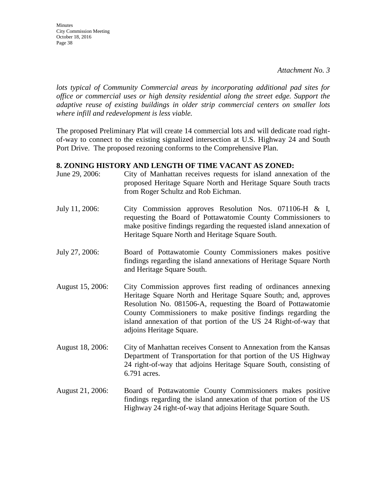**Minutes** City Commission Meeting October 18, 2016 Page 38

*lots typical of Community Commercial areas by incorporating additional pad sites for office or commercial uses or high density residential along the street edge. Support the adaptive reuse of existing buildings in older strip commercial centers on smaller lots where infill and redevelopment is less viable.*

The proposed Preliminary Plat will create 14 commercial lots and will dedicate road rightof-way to connect to the existing signalized intersection at U.S. Highway 24 and South Port Drive. The proposed rezoning conforms to the Comprehensive Plan.

#### **8. ZONING HISTORY AND LENGTH OF TIME VACANT AS ZONED:**

- June 29, 2006: City of Manhattan receives requests for island annexation of the proposed Heritage Square North and Heritage Square South tracts from Roger Schultz and Rob Eichman.
- July 11, 2006: City Commission approves Resolution Nos. 071106-H & I, requesting the Board of Pottawatomie County Commissioners to make positive findings regarding the requested island annexation of Heritage Square North and Heritage Square South.
- July 27, 2006: Board of Pottawatomie County Commissioners makes positive findings regarding the island annexations of Heritage Square North and Heritage Square South.
- August 15, 2006: City Commission approves first reading of ordinances annexing Heritage Square North and Heritage Square South; and, approves Resolution No. 081506-A, requesting the Board of Pottawatomie County Commissioners to make positive findings regarding the island annexation of that portion of the US 24 Right-of-way that adjoins Heritage Square.
- August 18, 2006: City of Manhattan receives Consent to Annexation from the Kansas Department of Transportation for that portion of the US Highway 24 right-of-way that adjoins Heritage Square South, consisting of 6.791 acres.
- August 21, 2006: Board of Pottawatomie County Commissioners makes positive findings regarding the island annexation of that portion of the US Highway 24 right-of-way that adjoins Heritage Square South.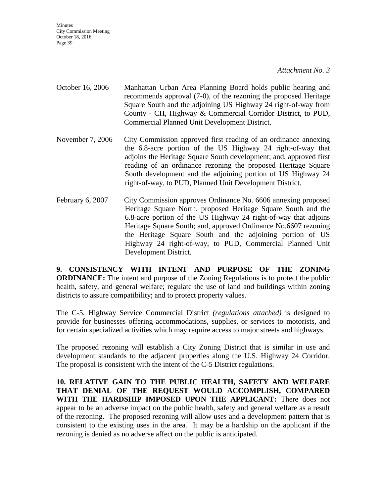- October 16, 2006 Manhattan Urban Area Planning Board holds public hearing and recommends approval (7-0), of the rezoning the proposed Heritage Square South and the adjoining US Highway 24 right-of-way from County - CH, Highway & Commercial Corridor District, to PUD, Commercial Planned Unit Development District.
- November 7, 2006 City Commission approved first reading of an ordinance annexing the 6.8-acre portion of the US Highway 24 right-of-way that adjoins the Heritage Square South development; and, approved first reading of an ordinance rezoning the proposed Heritage Square South development and the adjoining portion of US Highway 24 right-of-way, to PUD, Planned Unit Development District.
- February 6, 2007 City Commission approves Ordinance No. 6606 annexing proposed Heritage Square North, proposed Heritage Square South and the 6.8-acre portion of the US Highway 24 right-of-way that adjoins Heritage Square South; and, approved Ordinance No.6607 rezoning the Heritage Square South and the adjoining portion of US Highway 24 right-of-way, to PUD, Commercial Planned Unit Development District.

**9. CONSISTENCY WITH INTENT AND PURPOSE OF THE ZONING ORDINANCE:** The intent and purpose of the Zoning Regulations is to protect the public health, safety, and general welfare; regulate the use of land and buildings within zoning districts to assure compatibility; and to protect property values.

The C-5, Highway Service Commercial District *(regulations attached)* is designed to provide for businesses offering accommodations, supplies, or services to motorists, and for certain specialized activities which may require access to major streets and highways.

The proposed rezoning will establish a City Zoning District that is similar in use and development standards to the adjacent properties along the U.S. Highway 24 Corridor. The proposal is consistent with the intent of the C-5 District regulations.

**10. RELATIVE GAIN TO THE PUBLIC HEALTH, SAFETY AND WELFARE THAT DENIAL OF THE REQUEST WOULD ACCOMPLISH, COMPARED WITH THE HARDSHIP IMPOSED UPON THE APPLICANT:** There does not appear to be an adverse impact on the public health, safety and general welfare as a result of the rezoning. The proposed rezoning will allow uses and a development pattern that is consistent to the existing uses in the area. It may be a hardship on the applicant if the rezoning is denied as no adverse affect on the public is anticipated.